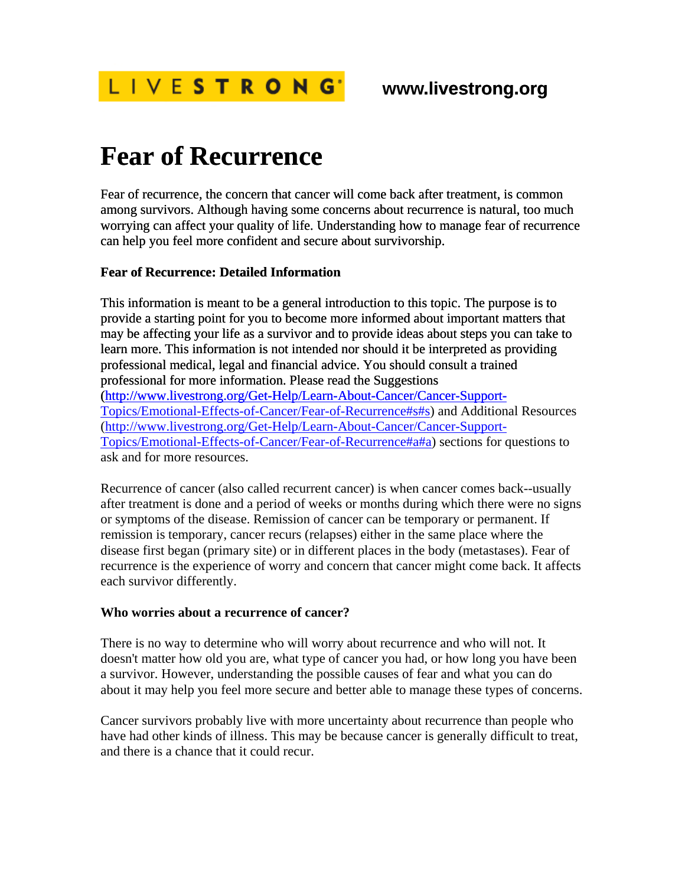

# **Fear of Recurrence**

Fear of recurrence, the concern that cancer will come back after treatment, is common among survivors. Although having some concerns about recurrence is natural, too much worrying can affect your quality of life. Understanding how to manage fear of recurrence can help you feel more confident and secure about survivorship.

#### **Fear of Recurrence: Detailed Information**

[This information is meant to be a general introduction to this topic. The purpose is to](http://www.livestrong.org/Get-Help/Learn-About-Cancer/Cancer-Support-Topics/Emotional-Effects-of-Cancer/Fear-of-Recurrence#s#s)  [provide a starting point for you to become more informed about important matters that](http://www.livestrong.org/Get-Help/Learn-About-Cancer/Cancer-Support-Topics/Emotional-Effects-of-Cancer/Fear-of-Recurrence#s#s)  [may be affecting your life as a survivor and to provide ideas about steps you can take to](http://www.livestrong.org/Get-Help/Learn-About-Cancer/Cancer-Support-Topics/Emotional-Effects-of-Cancer/Fear-of-Recurrence#s#s)  [learn more. This information is not intended nor should it be interpreted as providing](http://www.livestrong.org/Get-Help/Learn-About-Cancer/Cancer-Support-Topics/Emotional-Effects-of-Cancer/Fear-of-Recurrence#s#s)  [professional medical, legal and financial advice. You should consult a trained](http://www.livestrong.org/Get-Help/Learn-About-Cancer/Cancer-Support-Topics/Emotional-Effects-of-Cancer/Fear-of-Recurrence#s#s)  [professional for more information. Please read the Suggestions](http://www.livestrong.org/Get-Help/Learn-About-Cancer/Cancer-Support-Topics/Emotional-Effects-of-Cancer/Fear-of-Recurrence#s#s)  [\(http://www.livestrong.org/Get-Help/Learn-About-Cancer/Cancer-Support-](http://www.livestrong.org/Get-Help/Learn-About-Cancer/Cancer-Support-Topics/Emotional-Effects-of-Cancer/Fear-of-Recurrence#s#s)Topics/Emotional-Effects-of-Cancer/Fear-of-Recurrence#s#s[\) and Additional Resources](http://www.livestrong.org/Get-Help/Learn-About-Cancer/Cancer-Support-Topics/Emotional-Effects-of-Cancer/Fear-of-Recurrence#a#a)  [\(](http://www.livestrong.org/Get-Help/Learn-About-Cancer/Cancer-Support-Topics/Emotional-Effects-of-Cancer/Fear-of-Recurrence#a#a)http://www.livestrong.org/Get-Help/Learn-About-Cancer/Cancer-Support-Topics/Emotional-Effects-of-Cancer/Fear-of-Recurrence#a#a[\) sections for questions to](http://www.livestrong.org/Get-Help/Learn-About-Cancer/Cancer-Support-Topics/Emotional-Effects-of-Cancer/Fear-of-Recurrence#a#a)  [ask and for more resources.](http://www.livestrong.org/Get-Help/Learn-About-Cancer/Cancer-Support-Topics/Emotional-Effects-of-Cancer/Fear-of-Recurrence#a#a) 

Recurrence of cancer (also called recurrent cancer) is when cancer comes back--usually after treatment is done and a period of weeks or months during which there were no signs or symptoms of the disease. Remission of cancer can be temporary or permanent. If remission is temporary, cancer recurs (relapses) either in the same place where the disease first began (primary site) or in different places in the body (metastases). Fear of recurrence is the experience of worry and concern that cancer might come back. It affects each survivor differently.

#### **Who worries about a recurrence of cancer?**

There is no way to determine who will worry about recurrence and who will not. It doesn't matter how old you are, what type of cancer you had, or how long you have been a survivor. However, understanding the possible causes of fear and what you can do about it may help you feel more secure and better able to manage these types of concerns.

Cancer survivors probably live with more uncertainty about recurrence than people who have had other kinds of illness. This may be because cancer is generally difficult to treat, and there is a chance that it could recur.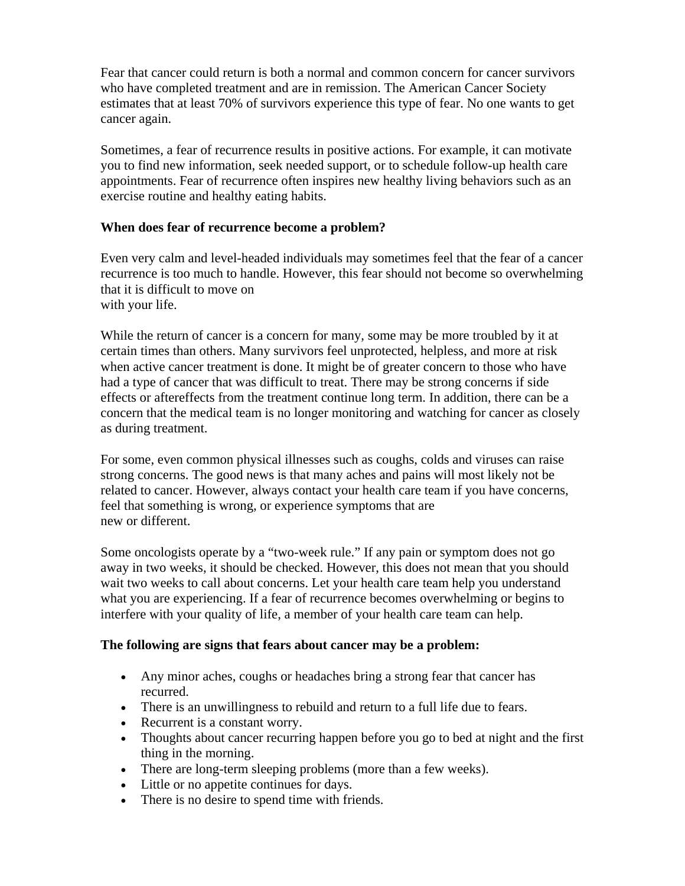Fear that cancer could return is both a normal and common concern for cancer survivors who have completed treatment and are in remission. The American Cancer Society estimates that at least 70% of survivors experience this type of fear. No one wants to get cancer again.

Sometimes, a fear of recurrence results in positive actions. For example, it can motivate you to find new information, seek needed support, or to schedule follow-up health care appointments. Fear of recurrence often inspires new healthy living behaviors such as an exercise routine and healthy eating habits.

#### **When does fear of recurrence become a problem?**

Even very calm and level-headed individuals may sometimes feel that the fear of a cancer recurrence is too much to handle. However, this fear should not become so overwhelming that it is difficult to move on with your life.

While the return of cancer is a concern for many, some may be more troubled by it at certain times than others. Many survivors feel unprotected, helpless, and more at risk when active cancer treatment is done. It might be of greater concern to those who have had a type of cancer that was difficult to treat. There may be strong concerns if side effects or aftereffects from the treatment continue long term. In addition, there can be a concern that the medical team is no longer monitoring and watching for cancer as closely as during treatment.

For some, even common physical illnesses such as coughs, colds and viruses can raise strong concerns. The good news is that many aches and pains will most likely not be related to cancer. However, always contact your health care team if you have concerns, feel that something is wrong, or experience symptoms that are new or different.

Some oncologists operate by a "two-week rule." If any pain or symptom does not go away in two weeks, it should be checked. However, this does not mean that you should wait two weeks to call about concerns. Let your health care team help you understand what you are experiencing. If a fear of recurrence becomes overwhelming or begins to interfere with your quality of life, a member of your health care team can help.

#### **The following are signs that fears about cancer may be a problem:**

- Any minor aches, coughs or headaches bring a strong fear that cancer has recurred.
- There is an unwillingness to rebuild and return to a full life due to fears.
- Recurrent is a constant worry.
- Thoughts about cancer recurring happen before you go to bed at night and the first thing in the morning.
- There are long-term sleeping problems (more than a few weeks).
- Little or no appetite continues for days.
- There is no desire to spend time with friends.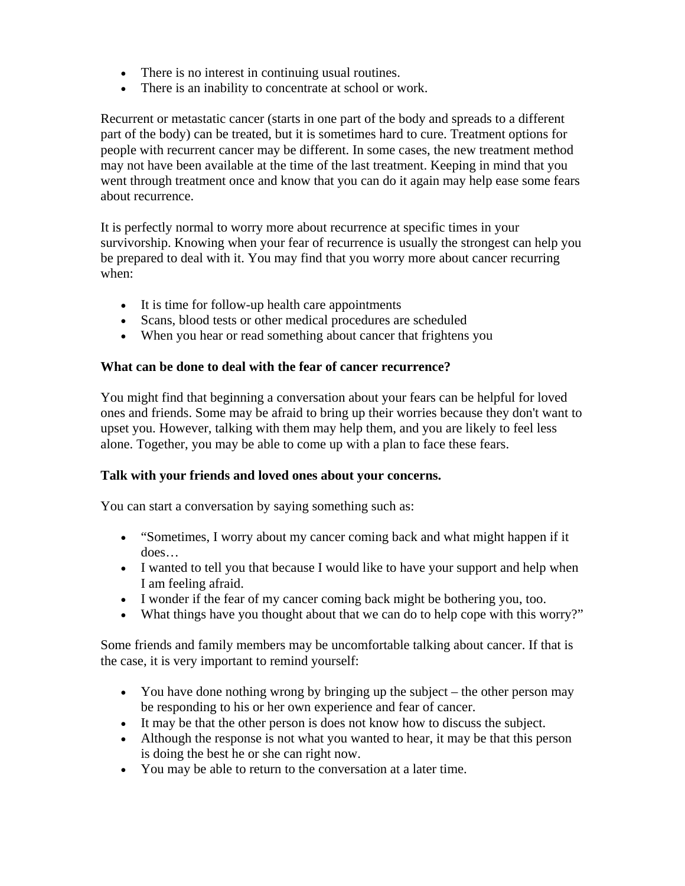- There is no interest in continuing usual routines.
- There is an inability to concentrate at school or work.

Recurrent or metastatic cancer (starts in one part of the body and spreads to a different part of the body) can be treated, but it is sometimes hard to cure. Treatment options for people with recurrent cancer may be different. In some cases, the new treatment method may not have been available at the time of the last treatment. Keeping in mind that you went through treatment once and know that you can do it again may help ease some fears about recurrence.

It is perfectly normal to worry more about recurrence at specific times in your survivorship. Knowing when your fear of recurrence is usually the strongest can help you be prepared to deal with it. You may find that you worry more about cancer recurring when:

- It is time for follow-up health care appointments
- Scans, blood tests or other medical procedures are scheduled
- When you hear or read something about cancer that frightens you

#### **What can be done to deal with the fear of cancer recurrence?**

You might find that beginning a conversation about your fears can be helpful for loved ones and friends. Some may be afraid to bring up their worries because they don't want to upset you. However, talking with them may help them, and you are likely to feel less alone. Together, you may be able to come up with a plan to face these fears.

#### **Talk with your friends and loved ones about your concerns.**

You can start a conversation by saying something such as:

- "Sometimes, I worry about my cancer coming back and what might happen if it does…
- I wanted to tell you that because I would like to have your support and help when I am feeling afraid.
- I wonder if the fear of my cancer coming back might be bothering you, too.
- What things have you thought about that we can do to help cope with this worry?"

Some friends and family members may be uncomfortable talking about cancer. If that is the case, it is very important to remind yourself:

- You have done nothing wrong by bringing up the subject the other person may be responding to his or her own experience and fear of cancer.
- It may be that the other person is does not know how to discuss the subject.
- Although the response is not what you wanted to hear, it may be that this person is doing the best he or she can right now.
- You may be able to return to the conversation at a later time.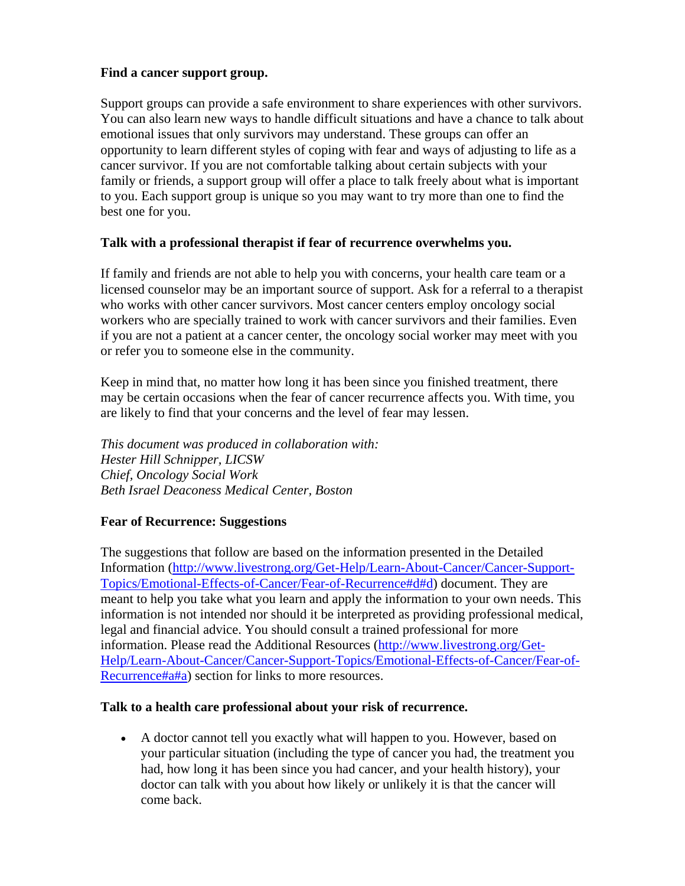#### **Find a cancer support group.**

Support groups can provide a safe environment to share experiences with other survivors. You can also learn new ways to handle difficult situations and have a chance to talk about emotional issues that only survivors may understand. These groups can offer an opportunity to learn different styles of coping with fear and ways of adjusting to life as a cancer survivor. If you are not comfortable talking about certain subjects with your family or friends, a support group will offer a place to talk freely about what is important to you. Each support group is unique so you may want to try more than one to find the best one for you.

#### **Talk with a professional therapist if fear of recurrence overwhelms you.**

If family and friends are not able to help you with concerns, your health care team or a licensed counselor may be an important source of support. Ask for a referral to a therapist who works with other cancer survivors. Most cancer centers employ oncology social workers who are specially trained to work with cancer survivors and their families. Even if you are not a patient at a cancer center, the oncology social worker may meet with you or refer you to someone else in the community.

Keep in mind that, no matter how long it has been since you finished treatment, there may be certain occasions when the fear of cancer recurrence affects you. With time, you are likely to find that your concerns and the level of fear may lessen.

*This document was produced in collaboration with: Hester Hill Schnipper, LICSW Chief, Oncology Social Work Beth Israel Deaconess Medical Center, Boston* 

#### **Fear of Recurrence: Suggestions**

The suggestions that follow are based on the information presented in the Detailed Information [\(http://www.livestrong.org/Get-Help/Learn-About-Cancer/Cancer-Support-](http://www.livestrong.org/Get-Help/Learn-About-Cancer/Cancer-Support-Topics/Emotional-Effects-of-Cancer/Fear-of-Recurrence#d#d)[Topics/Emotional-Effects-of-Cancer/Fear-of-Recurrence#d#d](http://www.livestrong.org/Get-Help/Learn-About-Cancer/Cancer-Support-Topics/Emotional-Effects-of-Cancer/Fear-of-Recurrence#d#d)) document. They are meant to help you take what you learn and apply the information to your own needs. This information is not intended nor should it be interpreted as providing professional medical, legal and financial advice. You should consult a trained professional for more information. Please read the Additional Resources [\(http://www.livestrong.org/Get-](http://www.livestrong.org/Get-Help/Learn-About-Cancer/Cancer-Support-Topics/Emotional-Effects-of-Cancer/Fear-of-Recurrence#a#a)[Help/Learn-About-Cancer/Cancer-Support-Topics/Emotional-Effects-of-Cancer/Fear-of-](http://www.livestrong.org/Get-Help/Learn-About-Cancer/Cancer-Support-Topics/Emotional-Effects-of-Cancer/Fear-of-Recurrence#a#a)[Recurrence#a#a](http://www.livestrong.org/Get-Help/Learn-About-Cancer/Cancer-Support-Topics/Emotional-Effects-of-Cancer/Fear-of-Recurrence#a#a)) section for links to more resources.

#### **Talk to a health care professional about your risk of recurrence.**

 A doctor cannot tell you exactly what will happen to you. However, based on your particular situation (including the type of cancer you had, the treatment you had, how long it has been since you had cancer, and your health history), your doctor can talk with you about how likely or unlikely it is that the cancer will come back.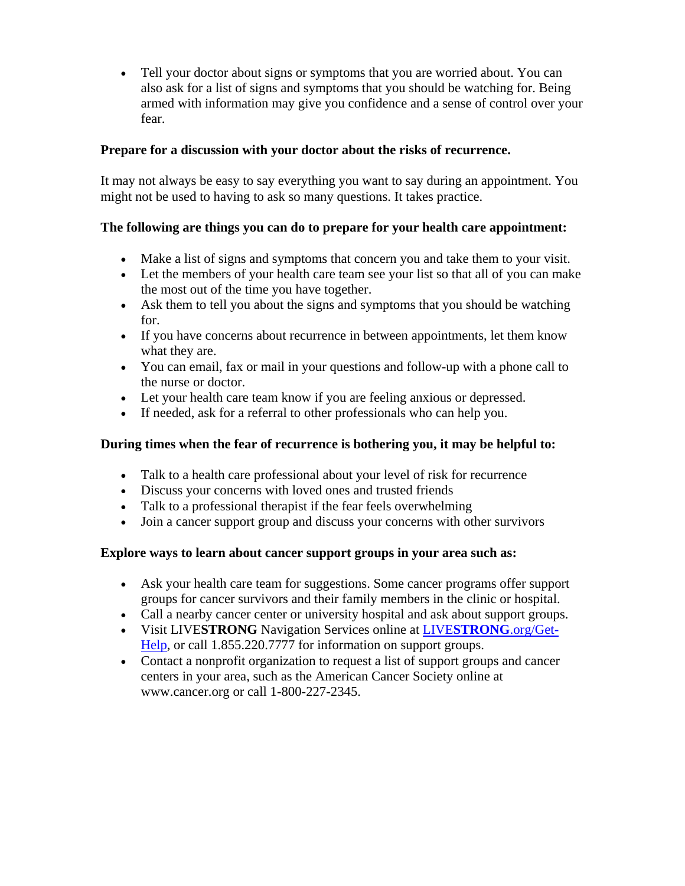Tell your doctor about signs or symptoms that you are worried about. You can also ask for a list of signs and symptoms that you should be watching for. Being armed with information may give you confidence and a sense of control over your fear.

#### **Prepare for a discussion with your doctor about the risks of recurrence.**

It may not always be easy to say everything you want to say during an appointment. You might not be used to having to ask so many questions. It takes practice.

### **The following are things you can do to prepare for your health care appointment:**

- Make a list of signs and symptoms that concern you and take them to your visit.
- Let the members of your health care team see your list so that all of you can make the most out of the time you have together.
- Ask them to tell you about the signs and symptoms that you should be watching for.
- If you have concerns about recurrence in between appointments, let them know what they are.
- You can email, fax or mail in your questions and follow-up with a phone call to the nurse or doctor.
- Let your health care team know if you are feeling anxious or depressed.
- If needed, ask for a referral to other professionals who can help you.

### **During times when the fear of recurrence is bothering you, it may be helpful to:**

- Talk to a health care professional about your level of risk for recurrence
- Discuss your concerns with loved ones and trusted friends
- Talk to a professional therapist if the fear feels overwhelming
- Join a cancer support group and discuss your concerns with other survivors

#### **Explore ways to learn about cancer support groups in your area such as:**

- Ask your health care team for suggestions. Some cancer programs offer support groups for cancer survivors and their family members in the clinic or hospital.
- Call a nearby cancer center or university hospital and ask about support groups.
- Visit LIVE**STRONG** Navigation Services online at LIVE**[STRONG](http://www.livestrong.org/Get-Help)**.org/Get-[Help](http://www.livestrong.org/Get-Help), or call 1.855.220.7777 for information on support groups.
- Contact a nonprofit organization to request a list of support groups and cancer centers in your area, such as the American Cancer Society online at www.cancer.org or call 1-800-227-2345.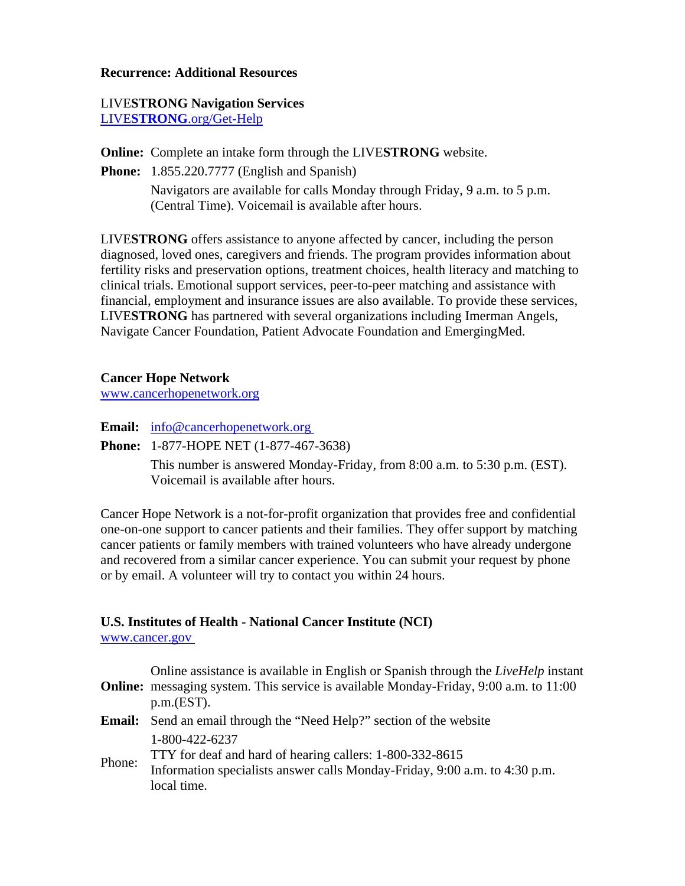#### **Recurrence: Additional Resources**

## LIVE**STRONG Navigation Services**

LIVE**STRONG**[.org/Get-Help](http://www.livestrong.org/Get-Help)

**Online:** Complete an intake form through the LIVE**STRONG** website.

**Phone:** 1.855.220.7777 (English and Spanish)

 Navigators are available for calls Monday through Friday, 9 a.m. to 5 p.m. (Central Time). Voicemail is available after hours.

LIVE**STRONG** offers assistance to anyone affected by cancer, including the person diagnosed, loved ones, caregivers and friends. The program provides information about fertility risks and preservation options, treatment choices, health literacy and matching to clinical trials. Emotional support services, peer-to-peer matching and assistance with financial, employment and insurance issues are also available. To provide these services, LIVE**STRONG** has partnered with several organizations including Imerman Angels, Navigate Cancer Foundation, Patient Advocate Foundation and EmergingMed.

**Cancer Hope Network** 

[www.cancerhopenetwork.org](http://www.cancerhopenetwork.org/)

**Email:** [info@cancerhopenetwork.org](mailto:info@cancerhopenetwork.org) 

**Phone:** 1-877-HOPE NET (1-877-467-3638)

 This number is answered Monday-Friday, from 8:00 a.m. to 5:30 p.m. (EST). Voicemail is available after hours.

Cancer Hope Network is a not-for-profit organization that provides free and confidential one-on-one support to cancer patients and their families. They offer support by matching cancer patients or family members with trained volunteers who have already undergone and recovered from a similar cancer experience. You can submit your request by phone or by email. A volunteer will try to contact you within 24 hours.

#### **U.S. Institutes of Health - National Cancer Institute (NCI)**

[www.cancer.gov](http://www.cancer.gov/) 

|        | Online assistance is available in English or Spanish through the LiveHelp instant<br><b>Online:</b> messaging system. This service is available Monday-Friday, 9:00 a.m. to 11:00<br>p.m.(EST). |
|--------|-------------------------------------------------------------------------------------------------------------------------------------------------------------------------------------------------|
|        | <b>Email:</b> Send an email through the "Need Help?" section of the website                                                                                                                     |
| Phone: | 1-800-422-6237<br>TTY for deaf and hard of hearing callers: 1-800-332-8615<br>Information specialists answer calls Monday-Friday, 9:00 a.m. to 4:30 p.m.<br>local time.                         |